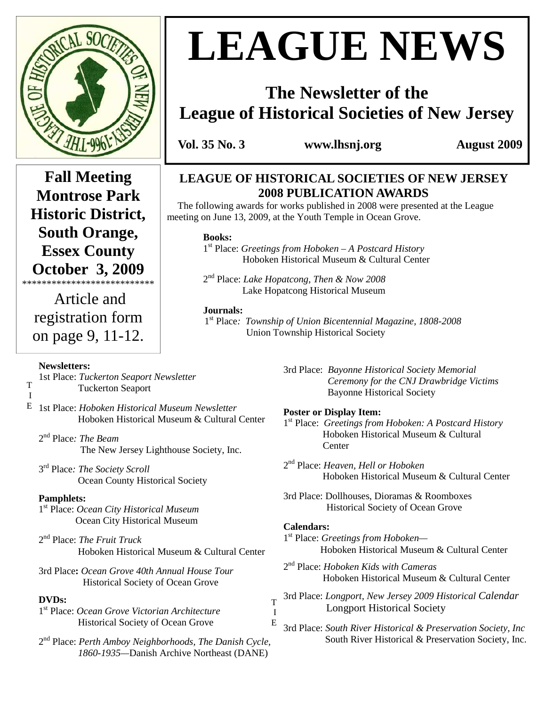

# **LEAGUE NEWS**

## **The Newsletter of the League of Historical Societies of New Jersey**

 **Vol. 35 No. 3 www.lhsnj.org August 2009** 

**Fall Meeting Montrose Park Historic District, South Orange, Essex County October 3, 2009** 

 Article and registration form on page 9, 11-12.

\*\*\*\*\*\*\*\*\*\*\*\*\*\*\*\*\*\*\*\*\*\*\*\*\*\*\*

## **LEAGUE OF HISTORICAL SOCIETIES OF NEW JERSEY**

 **2008 PUBLICATION AWARDS**  The following awards for works published in 2008 were presented at the League meeting on June 13, 2009, at the Youth Temple in Ocean Grove.

#### **Books:**

1 st Place: *Greetings from Hoboken – A Postcard History* Hoboken Historical Museum & Cultural Center

2 nd Place: *Lake Hopatcong, Then & Now 2008* Lake Hopatcong Historical Museum

#### **Journals:**

1 st Place*: Township of Union Bicentennial Magazine, 1808-2008* Union Township Historical Society

#### **Newsletters:**

T I 1st Place: *Tuckerton Seaport Newsletter* Tuckerton Seaport

- 1st Place: *Hoboken Historical Museum Newsletter*  E Hoboken Historical Museum & Cultural Center
	- 2 nd Place*: The Beam*  The New Jersey Lighthouse Society, Inc.
	- 3 rd Place*: The Society Scroll*  **Ocean County Historical Society**

## **Pamphlets:**

- 1 st Place: *Ocean City Historical Museum*  **Ocean City Historical Museum**
- 2 nd Place: *The Fruit Truck* Hoboken Historical Museum & Cultural Center
- 3rd Place**:** *Ocean Grove 40th Annual House Tour*  **Historical Society of Ocean Grove**

## **DVDs:**

1 st Place: *Ocean Grove Victorian Architecture* Historical Society of Ocean Grove

2 nd Place: *Perth Amboy Neighborhoods, The Danish Cycle, 1860-1935—*Danish Archive Northeast (DANE)

3rd Place: *Bayonne Historical Society Memorial Ceremony for the CNJ Drawbridge Victims*  Bayonne Historical Society

#### **Poster or Display Item:**

- 1 st Place: *Greetings from Hoboken: A Postcard History* Hoboken Historical Museum & Cultural **Center**
- 2 nd Place: *Heaven, Hell or Hoboken*  Hoboken Historical Museum & Cultural Center
- 3rd Place: Dollhouses, Dioramas & Roomboxes Historical Society of Ocean Grove

#### **Calendars:**

T I E

- 1 st Place: *Greetings from Hoboken—* Hoboken Historical Museum & Cultural Center
- 2 nd Place: *Hoboken Kids with Cameras* Hoboken Historical Museum & Cultural Center
- 3rd Place: *Longport, New Jersey 2009 Historical Calendar*  **Longport Historical Society**
- 3rd Place: *South River Historical & Preservation Society, Inc* South River Historical & Preservation Society, Inc.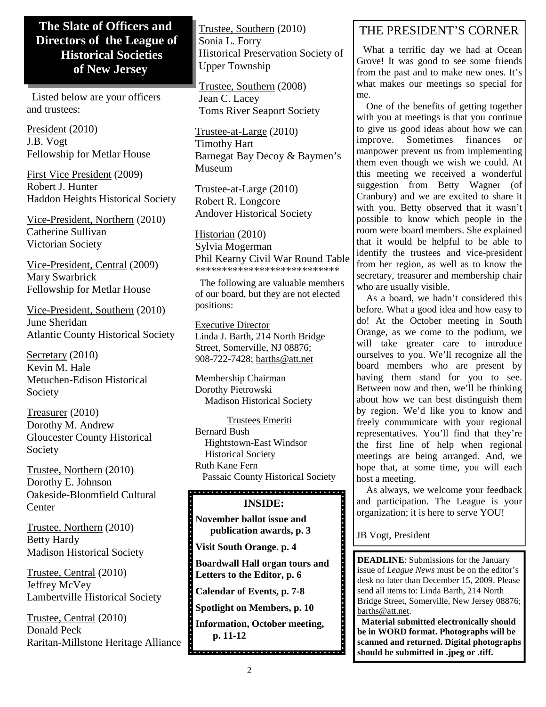## **The Slate of Officers and Directors of the League of Historical Societies of New Jersey**

 Listed below are your officers and trustees:

President (2010) J.B. Vogt Fellowship for Metlar House

First Vice President (2009) Robert J. Hunter Haddon Heights Historical Society

Vice-President, Northern (2010) Catherine Sullivan Victorian Society

Vice-President, Central (2009) Mary Swarbrick Fellowship for Metlar House

Vice-President, Southern (2010) June Sheridan Atlantic County Historical Society

Secretary (2010) Kevin M. Hale Metuchen-Edison Historical Society

Treasurer (2010) Dorothy M. Andrew Gloucester County Historical Society

Trustee, Northern (2010) Dorothy E. Johnson Oakeside-Bloomfield Cultural **Center** 

Trustee, Northern (2010) Betty Hardy Madison Historical Society

Trustee, Central (2010) Jeffrey McVey Lambertville Historical Society

Trustee, Central (2010) Donald Peck Raritan-Millstone Heritage Alliance Trustee, Southern (2010) Sonia L. Forry Historical Preservation Society of Upper Township

Trustee, Southern (2008) Jean C. Lacey Toms River Seaport Society

Trustee-at-Large (2010) Timothy Hart Barnegat Bay Decoy & Baymen's Museum

Trustee-at-Large (2010) Robert R. Longcore Andover Historical Society

Historian (2010) Sylvia Mogerman Phil Kearny Civil War Round Table \*\*\*\*\*\*\*\*\*\*\*\*\*\*\*\*\*\*\*\*\*\*\*\*\*\*\*

 The following are valuable members of our board, but they are not elected positions:

Executive Director Linda J. Barth, 214 North Bridge Street, Somerville, NJ 08876; 908-722-7428; barths@att.net

Membership Chairman Dorothy Pietrowski Madison Historical Society

 Trustees Emeriti Bernard Bush Hightstown-East Windsor Historical Society Ruth Kane Fern Passaic County Historical Society

## 

#### **INSIDE:**

**November ballot issue and publication awards, p. 3** 

**Visit South Orange. p. 4** 

. . . . . . . . . .

**Boardwall Hall organ tours and Letters to the Editor, p. 6** 

**Calendar of Events, p. 7-8** 

**Spotlight on Members, p. 10** 

**Information, October meeting, p. 11-12 p. 11-12** 

## THE PRESIDENT'S CORNER

 What a terrific day we had at Ocean Grove! It was good to see some friends from the past and to make new ones. It's what makes our meetings so special for me.

 One of the benefits of getting together with you at meetings is that you continue to give us good ideas about how we can improve. Sometimes finances or manpower prevent us from implementing them even though we wish we could. At this meeting we received a wonderful suggestion from Betty Wagner (of Cranbury) and we are excited to share it with you. Betty observed that it wasn't possible to know which people in the room were board members. She explained that it would be helpful to be able to identify the trustees and vice-president from her region, as well as to know the secretary, treasurer and membership chair who are usually visible.

 As a board, we hadn't considered this before. What a good idea and how easy to do! At the October meeting in South Orange, as we come to the podium, we will take greater care to introduce ourselves to you. We'll recognize all the board members who are present by having them stand for you to see. Between now and then, we'll be thinking about how we can best distinguish them by region. We'd like you to know and freely communicate with your regional representatives. You'll find that they're the first line of help when regional meetings are being arranged. And, we hope that, at some time, you will each host a meeting.

 As always, we welcome your feedback and participation. The League is your organization; it is here to serve YOU!

JB Vogt, President

**DEADLINE**: Submissions for the January issue of *League News* must be on the editor's desk no later than December 15, 2009. Please send all items to: Linda Barth, 214 North Bridge Street, Somerville, New Jersey 08876; barths@att.net.

 **Material submitted electronically should be in WORD format. Photographs will be scanned and returned. Digital photographs should be submitted in .jpeg or .tiff.**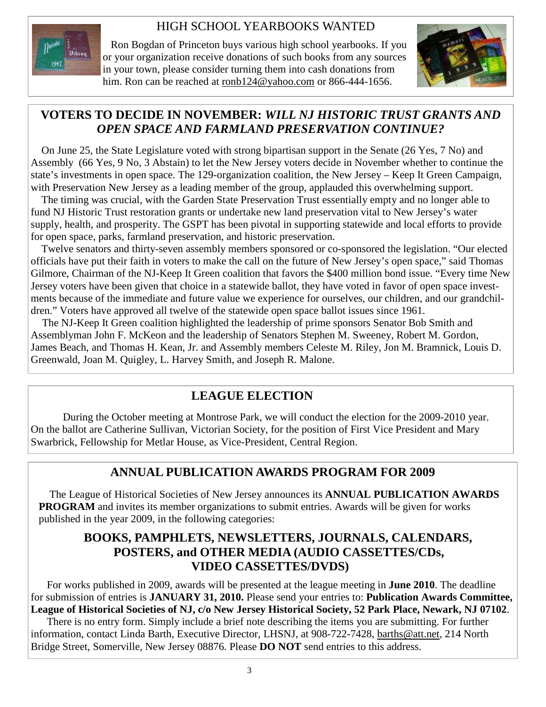## HIGH SCHOOL YEARBOOKS WANTED



 Ron Bogdan of Princeton buys various high school yearbooks. If you or your organization receive donations of such books from any sources in your town, please consider turning them into cash donations from him. Ron can be reached at ronb124@yahoo.com or 866-444-1656.



## **VOTERS TO DECIDE IN NOVEMBER:** *WILL NJ HISTORIC TRUST GRANTS AND OPEN SPACE AND FARMLAND PRESERVATION CONTINUE?*

 On June 25, the State Legislature voted with strong bipartisan support in the Senate (26 Yes, 7 No) and Assembly (66 Yes, 9 No, 3 Abstain) to let the New Jersey voters decide in November whether to continue the state's investments in open space. The 129-organization coalition, the New Jersey – Keep It Green Campaign, with Preservation New Jersey as a leading member of the group, applauded this overwhelming support.

 The timing was crucial, with the Garden State Preservation Trust essentially empty and no longer able to fund NJ Historic Trust restoration grants or undertake new land preservation vital to New Jersey's water supply, health, and prosperity. The GSPT has been pivotal in supporting statewide and local efforts to provide for open space, parks, farmland preservation, and historic preservation.

 Twelve senators and thirty-seven assembly members sponsored or co-sponsored the legislation. "Our elected officials have put their faith in voters to make the call on the future of New Jersey's open space," said Thomas Gilmore, Chairman of the NJ-Keep It Green coalition that favors the \$400 million bond issue. "Every time New Jersey voters have been given that choice in a statewide ballot, they have voted in favor of open space investments because of the immediate and future value we experience for ourselves, our children, and our grandchildren." Voters have approved all twelve of the statewide open space ballot issues since 1961.

 The NJ-Keep It Green coalition highlighted the leadership of prime sponsors Senator Bob Smith and Assemblyman John F. McKeon and the leadership of Senators Stephen M. Sweeney, Robert M. Gordon, James Beach, and Thomas H. Kean, Jr. and Assembly members Celeste M. Riley, Jon M. Bramnick, Louis D. Greenwald, Joan M. Quigley, L. Harvey Smith, and Joseph R. Malone.

## **LEAGUE ELECTION**

 During the October meeting at Montrose Park, we will conduct the election for the 2009-2010 year. On the ballot are Catherine Sullivan, Victorian Society, for the position of First Vice President and Mary Swarbrick, Fellowship for Metlar House, as Vice-President, Central Region.

## **ANNUAL PUBLICATION AWARDS PROGRAM FOR 2009**

 The League of Historical Societies of New Jersey announces its **ANNUAL PUBLICATION AWARDS PROGRAM** and invites its member organizations to submit entries. Awards will be given for works published in the year 2009, in the following categories:

## **BOOKS, PAMPHLETS, NEWSLETTERS, JOURNALS, CALENDARS, POSTERS, and OTHER MEDIA (AUDIO CASSETTES/CDs, VIDEO CASSETTES/DVDS)**

 For works published in 2009, awards will be presented at the league meeting in **June 2010**. The deadline for submission of entries is **JANUARY 31, 2010.** Please send your entries to: **Publication Awards Committee, League of Historical Societies of NJ, c/o New Jersey Historical Society, 52 Park Place, Newark, NJ 07102**.

 There is no entry form. Simply include a brief note describing the items you are submitting. For further information, contact Linda Barth, Executive Director, LHSNJ, at 908-722-7428, barths@att.net, 214 North Bridge Street, Somerville, New Jersey 08876. Please **DO NOT** send entries to this address.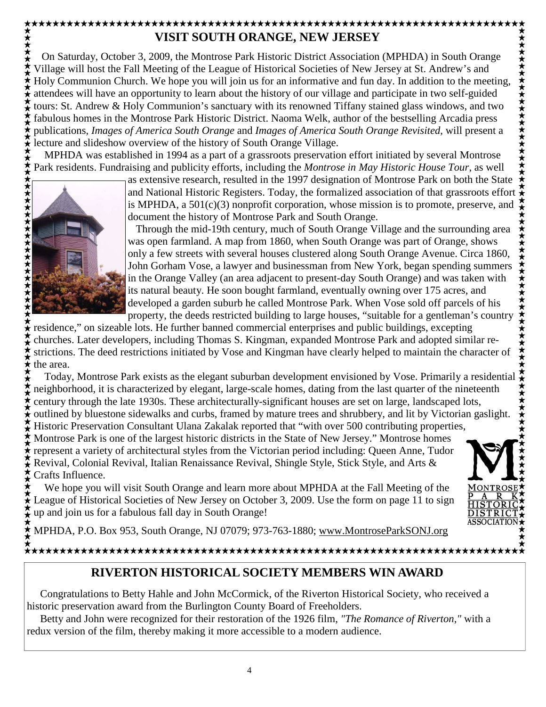## **VISIT SOUTH ORANGE, NEW JERSEY**

\*\*\*\*\*\*\*\*\*\*\*\*\* On Saturday, October 3, 2009, the Montrose Park Historic District Association (MPHDA) in South Orange Village will host the Fall Meeting of the League of Historical Societies of New Jersey at St. Andrew's and Holy Communion Church. We hope you will join us for an informative and fun day. In addition to the meeting, attendees will have an opportunity to learn about the history of our village and participate in two self-guided tours: St. Andrew & Holy Communion's sanctuary with its renowned Tiffany stained glass windows, and two fabulous homes in the Montrose Park Historic District. Naoma Welk, author of the bestselling Arcadia press ★★★ publications, *Images of America South Orange* and *Images of America South Orange Revisited*, will present a lecture and slideshow overview of the history of South Orange Village.

 MPHDA was established in 1994 as a part of a grassroots preservation effort initiated by several Montrose Park residents. Fundraising and publicity efforts, including the *Montrose in May Historic House Tour*, as well



as extensive research, resulted in the 1997 designation of Montrose Park on both the State and National Historic Registers. Today, the formalized association of that grassroots effort is MPHDA, a  $501(c)(3)$  nonprofit corporation, whose mission is to promote, preserve, and document the history of Montrose Park and South Orange.

 Through the mid-19th century, much of South Orange Village and the surrounding area was open farmland. A map from 1860, when South Orange was part of Orange, shows only a few streets with several houses clustered along South Orange Avenue. Circa 1860, John Gorham Vose, a lawyer and businessman from New York, began spending summers in the Orange Valley (an area adjacent to present-day South Orange) and was taken with its natural beauty. He soon bought farmland, eventually owning over 175 acres, and developed a garden suburb he called Montrose Park. When Vose sold off parcels of his property, the deeds restricted building to large houses, "suitable for a gentleman's country

 $\star$  residence," on sizeable lots. He further banned commercial enterprises and public buildings, excepting churches. Later developers, including Thomas S. Kingman, expanded Montrose Park and adopted similar restrictions. The deed restrictions initiated by Vose and Kingman have clearly helped to maintain the character of the area.

 Today, Montrose Park exists as the elegant suburban development envisioned by Vose. Primarily a residential neighborhood, it is characterized by elegant, large-scale homes, dating from the last quarter of the nineteenth century through the late 1930s. These architecturally-significant houses are set on large, landscaped lots,

outlined by bluestone sidewalks and curbs, framed by mature trees and shrubbery, and lit by Victorian gaslight. Historic Preservation Consultant Ulana Zakalak reported that "with over 500 contributing properties, Montrose Park is one of the largest historic districts in the State of New Jersey." Montrose homes represent a variety of architectural styles from the Victorian period including: Queen Anne, Tudor

 $\star$  Revival, Colonial Revival, Italian Renaissance Revival, Shingle Style, Stick Style, and Arts & Crafts Influence.

 We hope you will visit South Orange and learn more about MPHDA at the Fall Meeting of the ★<br>★League of Historical Societies of New Jersey on October 3, 2009. Use the form on page 11 to sign up and join us for a fabulous fall day in South Orange!



ASSOCIATIO

MPHDA, P.O. Box 953, South Orange, NJ 07079; 973-763-1880; www.MontroseParkSONJ.org

## 

## **RIVERTON HISTORICAL SOCIETY MEMBERS WIN AWARD**

 Congratulations to Betty Hahle and John McCormick, of the Riverton Historical Society, who received a historic preservation award from the Burlington County Board of Freeholders.

 Betty and John were recognized for their restoration of the 1926 film, *"The Romance of Riverton,"* with a redux version of the film, thereby making it more accessible to a modern audience.

\*\*\*\*\*\*\*\*\*\*\*\*\*\*\*\*\*\*\*\*\*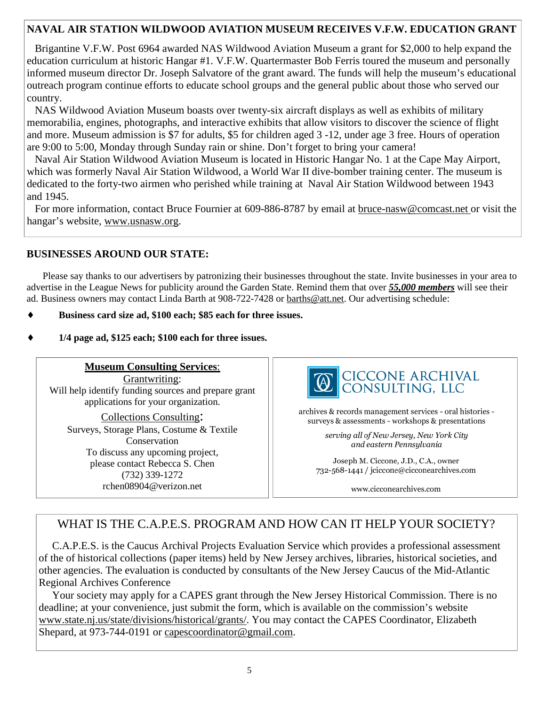## **NAVAL AIR STATION WILDWOOD AVIATION MUSEUM RECEIVES V.F.W. EDUCATION GRANT**

 Brigantine V.F.W. Post 6964 awarded NAS Wildwood Aviation Museum a grant for \$2,000 to help expand the education curriculum at historic Hangar #1. V.F.W. Quartermaster Bob Ferris toured the museum and personally informed museum director Dr. Joseph Salvatore of the grant award. The funds will help the museum's educational outreach program continue efforts to educate school groups and the general public about those who served our country.

 NAS Wildwood Aviation Museum boasts over twenty-six aircraft displays as well as exhibits of military memorabilia, engines, photographs, and interactive exhibits that allow visitors to discover the science of flight and more. Museum admission is \$7 for adults, \$5 for children aged 3 -12, under age 3 free. Hours of operation are 9:00 to 5:00, Monday through Sunday rain or shine. Don't forget to bring your camera!

 Naval Air Station Wildwood Aviation Museum is located in Historic Hangar No. 1 at the Cape May Airport, which was formerly Naval Air Station Wildwood, a World War II dive-bomber training center. The museum is dedicated to the forty-two airmen who perished while training at Naval Air Station Wildwood between 1943 and 1945.

 For more information, contact Bruce Fournier at 609-886-8787 by email at bruce-nasw@comcast.net or visit the hangar's website, www.usnasw.org.

#### **BUSINESSES AROUND OUR STATE:**

Please say thanks to our advertisers by patronizing their businesses throughout the state. Invite businesses in your area to advertise in the League News for publicity around the Garden State. Remind them that over *55,000 members* will see their ad. Business owners may contact Linda Barth at 908-722-7428 or **barths@att.net**. Our advertising schedule:

- Business card size ad, \$100 each; \$85 each for three issues.
- ♦ **1/4 page ad, \$125 each; \$100 each for three issues.**

**Museum Consulting Services**: Grantwriting: Will help identify funding sources and prepare grant applications for your organization.

Collections Consulting: Surveys, Storage Plans, Costume & Textile Conservation To discuss any upcoming project, please contact Rebecca S. Chen (732) 339-1272 rchen08904@verizon.net



archives & records management services - oral histories surveys & assessments - workshops & presentations

> serving all of New Jersey, New York City and eastern Pennsylvania

Joseph M. Ciccone, J.D., C.A., owner 732-568-1441 / jciccone@cicconearchives.com

www.cicconearchives.com

## WHAT IS THE C.A.P.E.S. PROGRAM AND HOW CAN IT HELP YOUR SOCIETY?

C.A.P.E.S. is the Caucus Archival Projects Evaluation Service which provides a professional assessment of the of historical collections (paper items) held by New Jersey archives, libraries, historical societies, and other agencies. The evaluation is conducted by consultants of the New Jersey Caucus of the Mid-Atlantic Regional Archives Conference

 Your society may apply for a CAPES grant through the New Jersey Historical Commission. There is no deadline; at your convenience, just submit the form, which is available on the commission's website www.state.nj.us/state/divisions/historical/grants/. You may contact the CAPES Coordinator, Elizabeth Shepard, at 973-744-0191 or capescoordinator@gmail.com.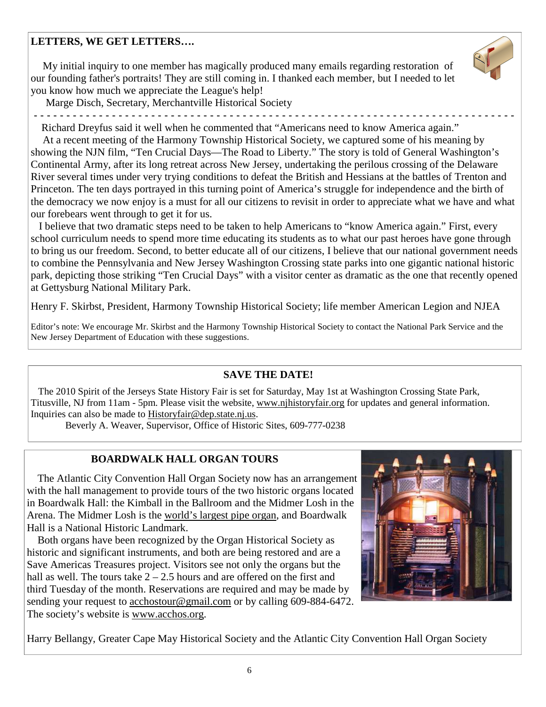## **LETTERS, WE GET LETTERS….**

 My initial inquiry to one member has magically produced many emails regarding restoration of our founding father's portraits! They are still coming in. I thanked each member, but I needed to let you know how much we appreciate the League's help!



Marge Disch, Secretary, Merchantville Historical Society

 - - - - - - - - - - - - - - - - - - - - - - - - - - - - - - - - - - - - - - - - - - - - - - - - - - - - - - - - - - - - - - - - - - - - - - - - - - Richard Dreyfus said it well when he commented that "Americans need to know America again."

 At a recent meeting of the Harmony Township Historical Society, we captured some of his meaning by showing the NJN film, "Ten Crucial Days—The Road to Liberty." The story is told of General Washington's Continental Army, after its long retreat across New Jersey, undertaking the perilous crossing of the Delaware River several times under very trying conditions to defeat the British and Hessians at the battles of Trenton and Princeton. The ten days portrayed in this turning point of America's struggle for independence and the birth of the democracy we now enjoy is a must for all our citizens to revisit in order to appreciate what we have and what our forebears went through to get it for us.

 I believe that two dramatic steps need to be taken to help Americans to "know America again." First, every school curriculum needs to spend more time educating its students as to what our past heroes have gone through to bring us our freedom. Second, to better educate all of our citizens, I believe that our national government needs to combine the Pennsylvania and New Jersey Washington Crossing state parks into one gigantic national historic park, depicting those striking "Ten Crucial Days" with a visitor center as dramatic as the one that recently opened at Gettysburg National Military Park.

Henry F. Skirbst, President, Harmony Township Historical Society; life member American Legion and NJEA

Editor's note: We encourage Mr. Skirbst and the Harmony Township Historical Society to contact the National Park Service and the New Jersey Department of Education with these suggestions.

#### **SAVE THE DATE!**

 The 2010 Spirit of the Jerseys State History Fair is set for Saturday, May 1st at Washington Crossing State Park, Titusville, NJ from 11am - 5pm. Please visit the website, www.njhistoryfair.org for updates and general information. Inquiries can also be made to Historyfair@dep.state.nj.us.

Beverly A. Weaver, Supervisor, Office of Historic Sites, 609-777-0238

## **BOARDWALK HALL ORGAN TOURS**

 The Atlantic City Convention Hall Organ Society now has an arrangement with the hall management to provide tours of the two historic organs located in Boardwalk Hall: the Kimball in the Ballroom and the Midmer Losh in the Arena. The Midmer Losh is the world's largest pipe organ, and Boardwalk Hall is a National Historic Landmark.

 Both organs have been recognized by the Organ Historical Society as historic and significant instruments, and both are being restored and are a Save Americas Treasures project. Visitors see not only the organs but the hall as well. The tours take  $2 - 2.5$  hours and are offered on the first and third Tuesday of the month. Reservations are required and may be made by sending your request to acchostour@gmail.com or by calling 609-884-6472. The society's website is www.acchos.org.



Harry Bellangy, Greater Cape May Historical Society and the Atlantic City Convention Hall Organ Society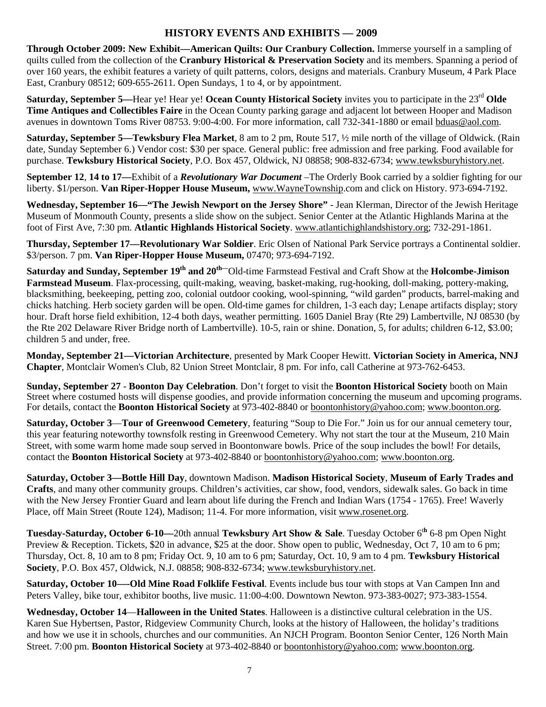#### **HISTORY EVENTS AND EXHIBITS — 2009**

**Through October 2009: New Exhibit—American Quilts: Our Cranbury Collection.** Immerse yourself in a sampling of quilts culled from the collection of the **Cranbury Historical & Preservation Society** and its members. Spanning a period of over 160 years, the exhibit features a variety of quilt patterns, colors, designs and materials. Cranbury Museum, 4 Park Place East, Cranbury 08512; 609-655-2611. Open Sundays, 1 to 4, or by appointment.

**Saturday, September 5—Hear ye! Hear ye! Ocean County Historical Society** invites you to participate in the 23<sup>rd</sup> Olde **Time Antiques and Collectibles Faire** in the Ocean County parking garage and adjacent lot between Hooper and Madison avenues in downtown Toms River 08753. 9:00-4:00. For more information, call 732-341-1880 or email bduas@aol.com.

**Saturday, September 5—Tewksbury Flea Market**, 8 am to 2 pm, Route 517, ½ mile north of the village of Oldwick. (Rain date, Sunday September 6.) Vendor cost: \$30 per space. General public: free admission and free parking. Food available for purchase. **Tewksbury Historical Society**, P.O. Box 457, Oldwick, NJ 08858; 908-832-6734; www.tewksburyhistory.net.

**September 12**, **14 to 17—**Exhibit of a *Revolutionary War Document* –The Orderly Book carried by a soldier fighting for our liberty. \$1/person. **Van Riper-Hopper House Museum,** www.WayneTownship.com and click on History. 973-694-7192.

**Wednesday, September 16—"The Jewish Newport on the Jersey Shore"** - Jean Klerman, Director of the Jewish Heritage Museum of Monmouth County, presents a slide show on the subject. Senior Center at the Atlantic Highlands Marina at the foot of First Ave, 7:30 pm. **Atlantic Highlands Historical Society**. www.atlantichighlandshistory.org; 732-291-1861.

**Thursday, September 17—Revolutionary War Soldier**. Eric Olsen of National Park Service portrays a Continental soldier. \$3/person. 7 pm. **Van Riper-Hopper House Museum,** 07470; 973-694-7192.

**Saturday and Sunday, September 19th and 20th—**Old-time Farmstead Festival and Craft Show at the **Holcombe-Jimison Farmstead Museum**. Flax-processing, quilt-making, weaving, basket-making, rug-hooking, doll-making, pottery-making, blacksmithing, beekeeping, petting zoo, colonial outdoor cooking, wool-spinning, "wild garden" products, barrel-making and chicks hatching. Herb society garden will be open. Old-time games for children, 1-3 each day; Lenape artifacts display; story hour. Draft horse field exhibition, 12-4 both days, weather permitting. 1605 Daniel Bray (Rte 29) Lambertville, NJ 08530 (by the Rte 202 Delaware River Bridge north of Lambertville). 10-5, rain or shine. Donation, 5, for adults; children 6-12, \$3.00; children 5 and under, free.

**Monday, September 21—Victorian Architecture**, presented by Mark Cooper Hewitt. **Victorian Society in America, NNJ Chapter**, Montclair Women's Club, 82 Union Street Montclair, 8 pm. For info, call Catherine at 973-762-6453.

**Sunday, September 27** - **Boonton Day Celebration**. Don't forget to visit the **Boonton Historical Society** booth on Main Street where costumed hosts will dispense goodies, and provide information concerning the museum and upcoming programs. For details, contact the **Boonton Historical Society** at 973-402-8840 or boontonhistory@yahoo.com; www.boonton.org.

**Saturday, October 3**—**Tour of Greenwood Cemetery**, featuring "Soup to Die For." Join us for our annual cemetery tour, this year featuring noteworthy townsfolk resting in Greenwood Cemetery. Why not start the tour at the Museum, 210 Main Street, with some warm home made soup served in Boontonware bowls. Price of the soup includes the bowl! For details, contact the **Boonton Historical Society** at 973-402-8840 or boontonhistory@yahoo.com; www.boonton.org.

**Saturday, October 3—Bottle Hill Day**, downtown Madison. **Madison Historical Society**, **Museum of Early Trades and Crafts**, and many other community groups. Children's activities, car show, food, vendors, sidewalk sales. Go back in time with the New Jersey Frontier Guard and learn about life during the French and Indian Wars (1754 - 1765). Free! Waverly Place, off Main Street (Route 124), Madison; 11-4. For more information, visit www.rosenet.org.

**Tuesday-Saturday, October 6-10—**20th annual **Tewksbury Art Show & Sale**. Tuesday October 6<sup>t</sup>**<sup>h</sup>** 6-8 pm Open Night Preview & Reception. Tickets, \$20 in advance, \$25 at the door. Show open to public, Wednesday, Oct 7, 10 am to 6 pm; Thursday, Oct. 8, 10 am to 8 pm; Friday Oct. 9, 10 am to 6 pm; Saturday, Oct. 10, 9 am to 4 pm. **Tewksbury Historical Society**, P.O. Box 457, Oldwick, N.J. 08858; 908-832-6734; www.tewksburyhistory.net.

**Saturday, October 10—-Old Mine Road Folklife Festival**. Events include bus tour with stops at Van Campen Inn and Peters Valley, bike tour, exhibitor booths, live music. 11:00-4:00. Downtown Newton. 973-383-0027; 973-383-1554.

**Wednesday, October 14**—**Halloween in the United States**. Halloween is a distinctive cultural celebration in the US. Karen Sue Hybertsen, Pastor, Ridgeview Community Church, looks at the history of Halloween, the holiday's traditions and how we use it in schools, churches and our communities. An NJCH Program. Boonton Senior Center, 126 North Main Street. 7:00 pm. **Boonton Historical Society** at 973-402-8840 or boontonhistory@yahoo.com; www.boonton.org.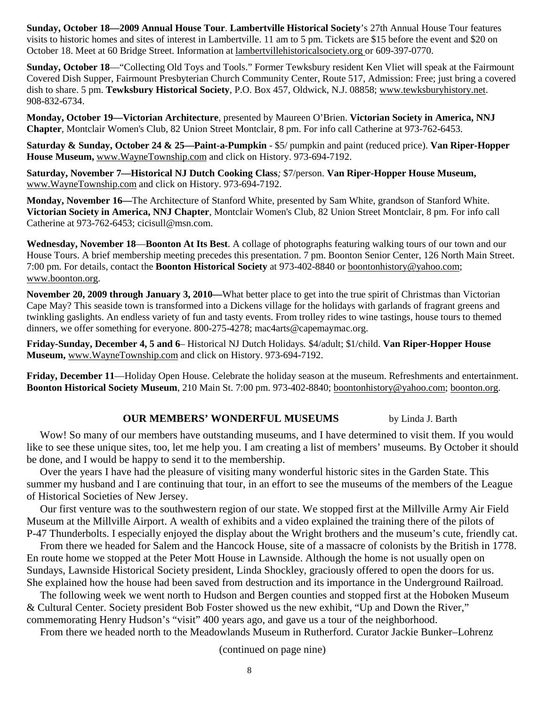**Sunday, October 18—2009 Annual House Tour**. **Lambertville Historical Society**'s 27th Annual House Tour features visits to historic homes and sites of interest in Lambertville. 11 am to 5 pm. Tickets are \$15 before the event and \$20 on October 18. Meet at 60 Bridge Street. Information at lambertvillehistoricalsociety.org or 609-397-0770.

**Sunday, October 18**—"Collecting Old Toys and Tools." Former Tewksbury resident Ken Vliet will speak at the Fairmount Covered Dish Supper, Fairmount Presbyterian Church Community Center, Route 517, Admission: Free; just bring a covered dish to share. 5 pm. **Tewksbury Historical Society**, P.O. Box 457, Oldwick, N.J. 08858; www.tewksburyhistory.net. 908-832-6734.

**Monday, October 19—Victorian Architecture**, presented by Maureen O'Brien. **Victorian Society in America, NNJ Chapter**, Montclair Women's Club, 82 Union Street Montclair, 8 pm. For info call Catherine at 973-762-6453.

**Saturday & Sunday, October 24 & 25—Paint-a-Pumpkin** - \$5/ pumpkin and paint (reduced price). **Van Riper-Hopper House Museum,** www.WayneTownship.com and click on History. 973-694-7192.

**Saturday, November 7—Historical NJ Dutch Cooking Class***;* \$7/person. **Van Riper-Hopper House Museum,** www.WayneTownship.com and click on History. 973-694-7192.

**Monday, November 16—**The Architecture of Stanford White, presented by Sam White, grandson of Stanford White. **Victorian Society in America, NNJ Chapter**, Montclair Women's Club, 82 Union Street Montclair, 8 pm. For info call Catherine at 973-762-6453; cicisull@msn.com.

**Wednesday, November 18**—**Boonton At Its Best**. A collage of photographs featuring walking tours of our town and our House Tours. A brief membership meeting precedes this presentation. 7 pm. Boonton Senior Center, 126 North Main Street. 7:00 pm. For details, contact the **Boonton Historical Society** at 973-402-8840 or boontonhistory@yahoo.com; www.boonton.org.

**November 20, 2009 through January 3, 2010—**What better place to get into the true spirit of Christmas than Victorian Cape May? This seaside town is transformed into a Dickens village for the holidays with garlands of fragrant greens and twinkling gaslights. An endless variety of fun and tasty events. From trolley rides to wine tastings, house tours to themed dinners, we offer something for everyone. 800-275-4278; mac4arts@capemaymac.org.

**Friday-Sunday, December 4, 5 and 6**– Historical NJ Dutch Holidays*.* \$4/adult; \$1/child. **Van Riper-Hopper House Museum,** www.WayneTownship.com and click on History. 973-694-7192.

**Friday, December 11**—Holiday Open House. Celebrate the holiday season at the museum. Refreshments and entertainment. **Boonton Historical Society Museum**, 210 Main St. 7:00 pm. 973-402-8840; boontonhistory@yahoo.com; boonton.org.

#### **OUR MEMBERS' WONDERFUL MUSEUMS** by Linda J. Barth

Wow! So many of our members have outstanding museums, and I have determined to visit them. If you would like to see these unique sites, too, let me help you. I am creating a list of members' museums. By October it should be done, and I would be happy to send it to the membership.

 Over the years I have had the pleasure of visiting many wonderful historic sites in the Garden State. This summer my husband and I are continuing that tour, in an effort to see the museums of the members of the League of Historical Societies of New Jersey.

 Our first venture was to the southwestern region of our state. We stopped first at the Millville Army Air Field Museum at the Millville Airport. A wealth of exhibits and a video explained the training there of the pilots of P-47 Thunderbolts. I especially enjoyed the display about the Wright brothers and the museum's cute, friendly cat.

 From there we headed for Salem and the Hancock House, site of a massacre of colonists by the British in 1778. En route home we stopped at the Peter Mott House in Lawnside. Although the home is not usually open on Sundays, Lawnside Historical Society president, Linda Shockley, graciously offered to open the doors for us. She explained how the house had been saved from destruction and its importance in the Underground Railroad.

 The following week we went north to Hudson and Bergen counties and stopped first at the Hoboken Museum & Cultural Center. Society president Bob Foster showed us the new exhibit, "Up and Down the River," commemorating Henry Hudson's "visit" 400 years ago, and gave us a tour of the neighborhood.

From there we headed north to the Meadowlands Museum in Rutherford. Curator Jackie Bunker–Lohrenz

(continued on page nine)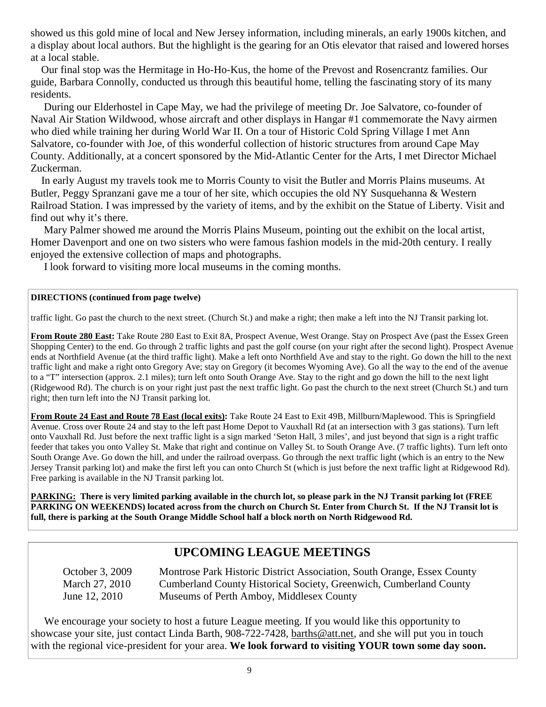showed us this gold mine of local and New Jersey information, including minerals, an early 1900s kitchen, and a display about local authors. But the highlight is the gearing for an Otis elevator that raised and lowered horses at a local stable.

 Our final stop was the Hermitage in Ho-Ho-Kus, the home of the Prevost and Rosencrantz families. Our guide, Barbara Connolly, conducted us through this beautiful home, telling the fascinating story of its many residents.

 During our Elderhostel in Cape May, we had the privilege of meeting Dr. Joe Salvatore, co-founder of Naval Air Station Wildwood, whose aircraft and other displays in Hangar #1 commemorate the Navy airmen who died while training her during World War II. On a tour of Historic Cold Spring Village I met Ann Salvatore, co-founder with Joe, of this wonderful collection of historic structures from around Cape May County. Additionally, at a concert sponsored by the Mid-Atlantic Center for the Arts, I met Director Michael Zuckerman.

In early August my travels took me to Morris County to visit the Butler and Morris Plains museums. At Butler, Peggy Spranzani gave me a tour of her site, which occupies the old NY Susquehanna & Western Railroad Station. I was impressed by the variety of items, and by the exhibit on the Statue of Liberty. Visit and find out why it's there.

 Mary Palmer showed me around the Morris Plains Museum, pointing out the exhibit on the local artist, Homer Davenport and one on two sisters who were famous fashion models in the mid-20th century. I really enjoyed the extensive collection of maps and photographs.

I look forward to visiting more local museums in the coming months.

#### **DIRECTIONS (continued from page twelve)**

traffic light. Go past the church to the next street. (Church St.) and make a right; then make a left into the NJ Transit parking lot.

**From Route 280 East:** Take Route 280 East to Exit 8A, Prospect Avenue, West Orange. Stay on Prospect Ave (past the Essex Green Shopping Center) to the end. Go through 2 traffic lights and past the golf course (on your right after the second light). Prospect Avenue ends at Northfield Avenue (at the third traffic light). Make a left onto Northfield Ave and stay to the right. Go down the hill to the next traffic light and make a right onto Gregory Ave; stay on Gregory (it becomes Wyoming Ave). Go all the way to the end of the avenue to a "T" intersection (approx. 2.1 miles); turn left onto South Orange Ave. Stay to the right and go down the hill to the next light (Ridgewood Rd). The church is on your right just past the next traffic light. Go past the church to the next street (Church St.) and turn right; then turn left into the NJ Transit parking lot.

**From Route 24 East and Route 78 East (local exits):** Take Route 24 East to Exit 49B, Millburn/Maplewood. This is Springfield Avenue. Cross over Route 24 and stay to the left past Home Depot to Vauxhall Rd (at an intersection with 3 gas stations). Turn left onto Vauxhall Rd. Just before the next traffic light is a sign marked 'Seton Hall, 3 miles', and just beyond that sign is a right traffic feeder that takes you onto Valley St. Make that right and continue on Valley St. to South Orange Ave. (7 traffic lights). Turn left onto South Orange Ave. Go down the hill, and under the railroad overpass. Go through the next traffic light (which is an entry to the New Jersey Transit parking lot) and make the first left you can onto Church St (which is just before the next traffic light at Ridgewood Rd). Free parking is available in the NJ Transit parking lot.

**PARKING: There is very limited parking available in the church lot, so please park in the NJ Transit parking lot (FREE PARKING ON WEEKENDS) located across from the church on Church St. Enter from Church St. If the NJ Transit lot is full, there is parking at the South Orange Middle School half a block north on North Ridgewood Rd.**

## **UPCOMING LEAGUE MEETINGS**

 October 3, 2009 Montrose Park Historic District Association, South Orange, Essex County March 27, 2010 Cumberland County Historical Society, Greenwich, Cumberland County June 12, 2010 Museums of Perth Amboy, Middlesex County

 We encourage your society to host a future League meeting. If you would like this opportunity to showcase your site, just contact Linda Barth, 908-722-7428, barths@att.net, and she will put you in touch with the regional vice-president for your area. **We look forward to visiting YOUR town some day soon.**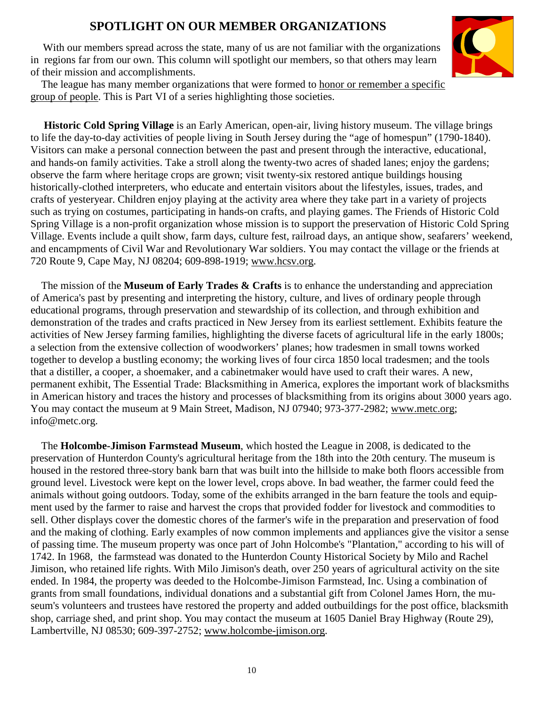## **SPOTLIGHT ON OUR MEMBER ORGANIZATIONS**

With our members spread across the state, many of us are not familiar with the organizations in regions far from our own. This column will spotlight our members, so that others may learn of their mission and accomplishments.



 The league has many member organizations that were formed to honor or remember a specific group of people. This is Part VI of a series highlighting those societies.

 **Historic Cold Spring Village** is an Early American, open-air, living history museum. The village brings to life the day-to-day activities of people living in South Jersey during the "age of homespun" (1790-1840). Visitors can make a personal connection between the past and present through the interactive, educational, and hands-on family activities. Take a stroll along the twenty-two acres of shaded lanes; enjoy the gardens; observe the farm where heritage crops are grown; visit twenty-six restored antique buildings housing historically-clothed interpreters, who educate and entertain visitors about the lifestyles, issues, trades, and crafts of yesteryear. Children enjoy playing at the activity area where they take part in a variety of projects such as trying on costumes, participating in hands-on crafts, and playing games. The Friends of Historic Cold Spring Village is a non-profit organization whose mission is to support the preservation of Historic Cold Spring Village. Events include a quilt show, farm days, culture fest, railroad days, an antique show, seafarers' weekend, and encampments of Civil War and Revolutionary War soldiers. You may contact the village or the friends at 720 Route 9, Cape May, NJ 08204; 609-898-1919; www.hcsv.org.

 The mission of the **Museum of Early Trades & Crafts** is to enhance the understanding and appreciation of America's past by presenting and interpreting the history, culture, and lives of ordinary people through educational programs, through preservation and stewardship of its collection, and through exhibition and demonstration of the trades and crafts practiced in New Jersey from its earliest settlement. Exhibits feature the activities of New Jersey farming families, highlighting the diverse facets of agricultural life in the early 1800s; a selection from the extensive collection of woodworkers' planes; how tradesmen in small towns worked together to develop a bustling economy; the working lives of four circa 1850 local tradesmen; and the tools that a distiller, a cooper, a shoemaker, and a cabinetmaker would have used to craft their wares. A new, permanent exhibit, The Essential Trade: Blacksmithing in America, explores the important work of blacksmiths in American history and traces the history and processes of blacksmithing from its origins about 3000 years ago. You may contact the museum at 9 Main Street, Madison, NJ 07940; 973-377-2982; www.metc.org; info@metc.org.

 The **Holcombe-Jimison Farmstead Museum**, which hosted the League in 2008, is dedicated to the preservation of Hunterdon County's agricultural heritage from the 18th into the 20th century. The museum is housed in the restored three-story bank barn that was built into the hillside to make both floors accessible from ground level. Livestock were kept on the lower level, crops above. In bad weather, the farmer could feed the animals without going outdoors. Today, some of the exhibits arranged in the barn feature the tools and equipment used by the farmer to raise and harvest the crops that provided fodder for livestock and commodities to sell. Other displays cover the domestic chores of the farmer's wife in the preparation and preservation of food and the making of clothing. Early examples of now common implements and appliances give the visitor a sense of passing time. The museum property was once part of John Holcombe's "Plantation," according to his will of 1742. In 1968, the farmstead was donated to the Hunterdon County Historical Society by Milo and Rachel Jimison, who retained life rights. With Milo Jimison's death, over 250 years of agricultural activity on the site ended. In 1984, the property was deeded to the Holcombe-Jimison Farmstead, Inc. Using a combination of grants from small foundations, individual donations and a substantial gift from Colonel James Horn, the museum's volunteers and trustees have restored the property and added outbuildings for the post office, blacksmith shop, carriage shed, and print shop. You may contact the museum at 1605 Daniel Bray Highway (Route 29), Lambertville, NJ 08530; 609-397-2752; www.holcombe-jimison.org.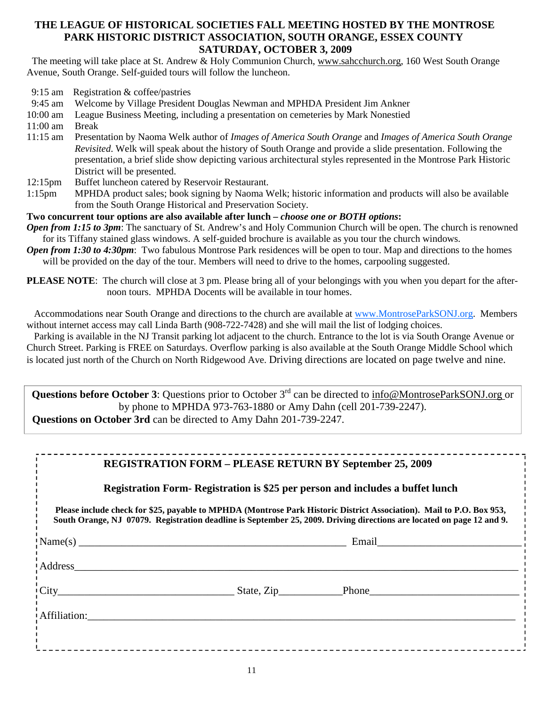#### **THE LEAGUE OF HISTORICAL SOCIETIES FALL MEETING HOSTED BY THE MONTROSE PARK HISTORIC DISTRICT ASSOCIATION, SOUTH ORANGE, ESSEX COUNTY SATURDAY, OCTOBER 3, 2009**

 The meeting will take place at St. Andrew & Holy Communion Church, www.sahcchurch.org, 160 West South Orange Avenue, South Orange. Self-guided tours will follow the luncheon.

9:15 am Registration & coffee/pastries

9:45 am Welcome by Village President Douglas Newman and MPHDA President Jim Ankner

- 10:00 am League Business Meeting, including a presentation on cemeteries by Mark Nonestied
- 11:00 am Break
- 11:15 am Presentation by Naoma Welk author of *Images of America South Orange* and *Images of America South Orange Revisited*. Welk will speak about the history of South Orange and provide a slide presentation. Following the presentation, a brief slide show depicting various architectural styles represented in the Montrose Park Historic District will be presented.
- 12:15pm Buffet luncheon catered by Reservoir Restaurant.
- 1:15pm MPHDA product sales; book signing by Naoma Welk; historic information and products will also be available from the South Orange Historical and Preservation Society.

#### **Two concurrent tour options are also available after lunch –** *choose one or BOTH options***:**

*Open from 1:15 to 3pm*: The sanctuary of St. Andrew's and Holy Communion Church will be open. The church is renowned for its Tiffany stained glass windows. A self-guided brochure is available as you tour the church windows.

- *Open from 1:30 to 4:30pm*: Two fabulous Montrose Park residences will be open to tour. Map and directions to the homes will be provided on the day of the tour. Members will need to drive to the homes, carpooling suggested.
- **PLEASE NOTE**: The church will close at 3 pm. Please bring all of your belongings with you when you depart for the afternoon tours. MPHDA Docents will be available in tour homes.

Accommodations near South Orange and directions to the church are available at www.MontroseParkSONJ.org. Members without internet access may call Linda Barth (908-722-7428) and she will mail the list of lodging choices.

 Parking is available in the NJ Transit parking lot adjacent to the church. Entrance to the lot is via South Orange Avenue or Church Street. Parking is FREE on Saturdays. Overflow parking is also available at the South Orange Middle School which is located just north of the Church on North Ridgewood Ave. Driving directions are located on page twelve and nine.

**Questions before October 3**: Questions prior to October 3<sup>rd</sup> can be directed to info@MontroseParkSONJ.org or by phone to MPHDA 973-763-1880 or Amy Dahn (cell 201-739-2247).  **Questions on October 3rd** can be directed to Amy Dahn 201-739-2247.

## **REGISTRATION FORM – PLEASE RETURN BY September 25, 2009**

**Registration Form- Registration is \$25 per person and includes a buffet lunch** 

**Please include check for \$25, payable to MPHDA (Montrose Park Historic District Association). Mail to P.O. Box 953, South Orange, NJ 07079. Registration deadline is September 25, 2009. Driving directions are located on page 12 and 9.** 

|               | Email |
|---------------|-------|
| Address       |       |
| $\text{City}$ |       |
| Affiliation:  |       |
|               |       |